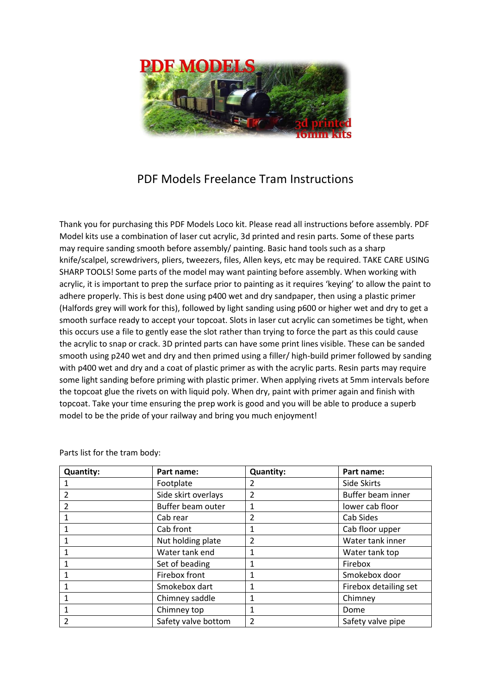

## PDF Models Freelance Tram Instructions

Thank you for purchasing this PDF Models Loco kit. Please read all instructions before assembly. PDF Model kits use a combination of laser cut acrylic, 3d printed and resin parts. Some of these parts may require sanding smooth before assembly/ painting. Basic hand tools such as a sharp knife/scalpel, screwdrivers, pliers, tweezers, files, Allen keys, etc may be required. TAKE CARE USING SHARP TOOLS! Some parts of the model may want painting before assembly. When working with acrylic, it is important to prep the surface prior to painting as it requires 'keying' to allow the paint to adhere properly. This is best done using p400 wet and dry sandpaper, then using a plastic primer (Halfords grey will work for this), followed by light sanding using p600 or higher wet and dry to get a smooth surface ready to accept your topcoat. Slots in laser cut acrylic can sometimes be tight, when this occurs use a file to gently ease the slot rather than trying to force the part as this could cause the acrylic to snap or crack. 3D printed parts can have some print lines visible. These can be sanded smooth using p240 wet and dry and then primed using a filler/ high-build primer followed by sanding with p400 wet and dry and a coat of plastic primer as with the acrylic parts. Resin parts may require some light sanding before priming with plastic primer. When applying rivets at 5mm intervals before the topcoat glue the rivets on with liquid poly. When dry, paint with primer again and finish with topcoat. Take your time ensuring the prep work is good and you will be able to produce a superb model to be the pride of your railway and bring you much enjoyment!

| <b>Quantity:</b>        | Part name:          | <b>Quantity:</b> | Part name:            |
|-------------------------|---------------------|------------------|-----------------------|
|                         | Footplate           | 2                | Side Skirts           |
| $\overline{2}$          | Side skirt overlays | $\overline{2}$   | Buffer beam inner     |
| 2                       | Buffer beam outer   | 1                | lower cab floor       |
|                         | Cab rear            | 2                | Cab Sides             |
| 1                       | Cab front           | 1                | Cab floor upper       |
|                         | Nut holding plate   | 2                | Water tank inner      |
|                         | Water tank end      | 1                | Water tank top        |
| 1                       | Set of beading      | 1                | Firebox               |
|                         | Firebox front       |                  | Smokebox door         |
| 1                       | Smokebox dart       | 1                | Firebox detailing set |
| 1                       | Chimney saddle      | 1                | Chimney               |
|                         | Chimney top         | 1                | Dome                  |
| $\overline{\mathbf{c}}$ | Safety valve bottom | $\overline{2}$   | Safety valve pipe     |

Parts list for the tram body: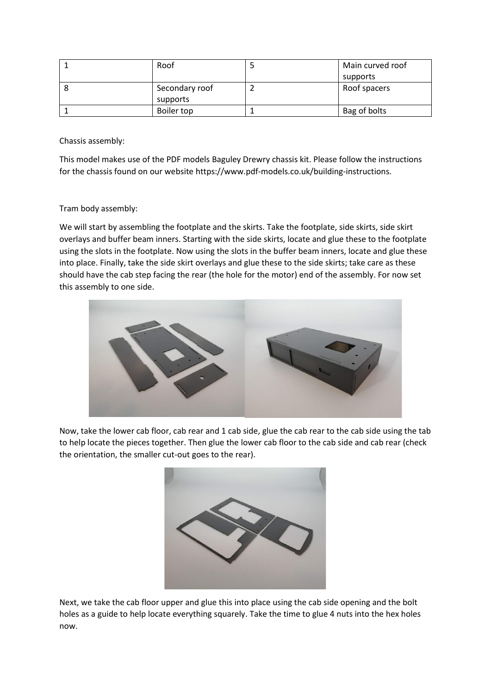| Roof           | Main curved roof |
|----------------|------------------|
|                | supports         |
| Secondary roof | Roof spacers     |
| supports       |                  |
| Boiler top     | Bag of bolts     |

Chassis assembly:

This model makes use of the PDF models Baguley Drewry chassis kit. Please follow the instructions for the chassis found on our website https://www.pdf-models.co.uk/building-instructions.

## Tram body assembly:

We will start by assembling the footplate and the skirts. Take the footplate, side skirts, side skirt overlays and buffer beam inners. Starting with the side skirts, locate and glue these to the footplate using the slots in the footplate. Now using the slots in the buffer beam inners, locate and glue these into place. Finally, take the side skirt overlays and glue these to the side skirts; take care as these should have the cab step facing the rear (the hole for the motor) end of the assembly. For now set this assembly to one side.



Now, take the lower cab floor, cab rear and 1 cab side, glue the cab rear to the cab side using the tab to help locate the pieces together. Then glue the lower cab floor to the cab side and cab rear (check the orientation, the smaller cut-out goes to the rear).



Next, we take the cab floor upper and glue this into place using the cab side opening and the bolt holes as a guide to help locate everything squarely. Take the time to glue 4 nuts into the hex holes now.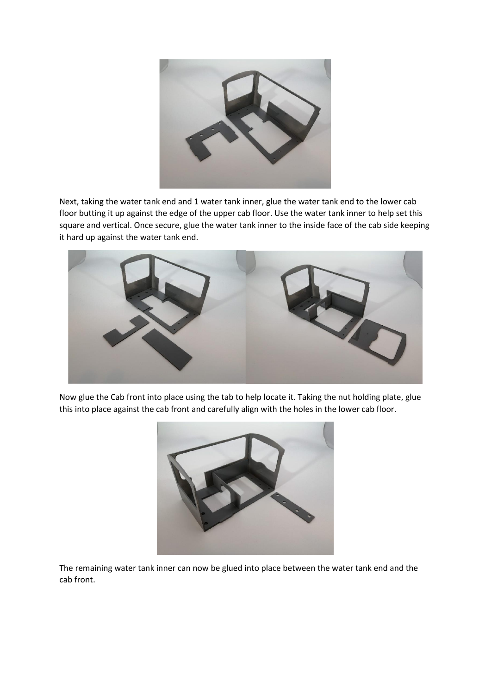

Next, taking the water tank end and 1 water tank inner, glue the water tank end to the lower cab floor butting it up against the edge of the upper cab floor. Use the water tank inner to help set this square and vertical. Once secure, glue the water tank inner to the inside face of the cab side keeping it hard up against the water tank end.



Now glue the Cab front into place using the tab to help locate it. Taking the nut holding plate, glue this into place against the cab front and carefully align with the holes in the lower cab floor.



The remaining water tank inner can now be glued into place between the water tank end and the cab front.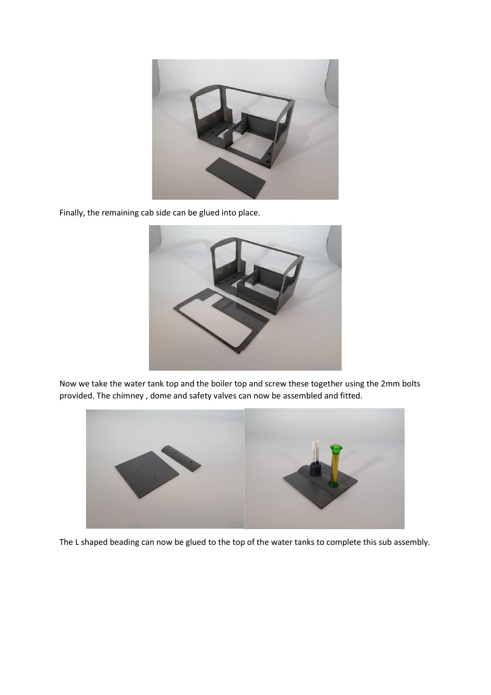

Finally, the remaining cab side can be glued into place.



Now we take the water tank top and the boiler top and screw these together using the 2mm bolts provided. The chimney , dome and safety valves can now be assembled and fitted.



The L shaped beading can now be glued to the top of the water tanks to complete this sub assembly.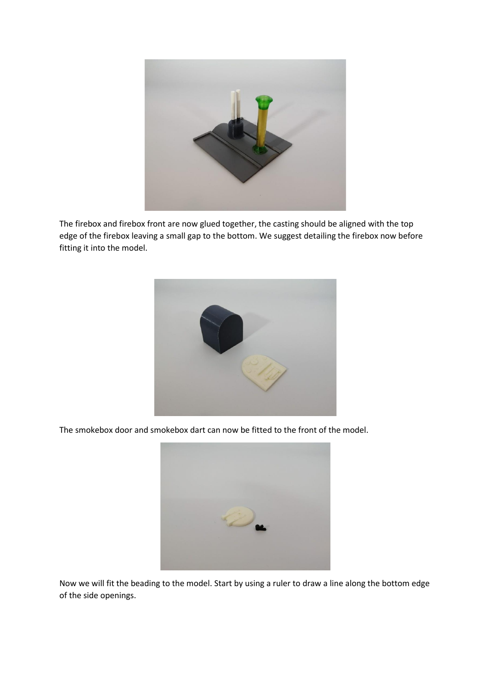

The firebox and firebox front are now glued together, the casting should be aligned with the top edge of the firebox leaving a small gap to the bottom. We suggest detailing the firebox now before fitting it into the model.



The smokebox door and smokebox dart can now be fitted to the front of the model.



Now we will fit the beading to the model. Start by using a ruler to draw a line along the bottom edge of the side openings.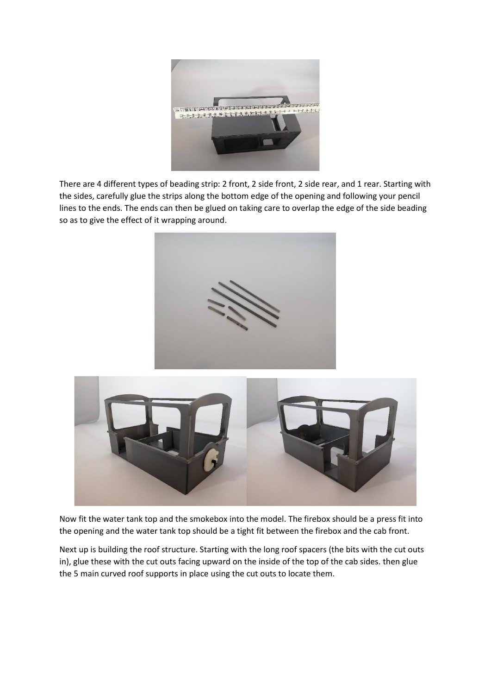

There are 4 different types of beading strip: 2 front, 2 side front, 2 side rear, and 1 rear. Starting with the sides, carefully glue the strips along the bottom edge of the opening and following your pencil lines to the ends. The ends can then be glued on taking care to overlap the edge of the side beading so as to give the effect of it wrapping around.





Now fit the water tank top and the smokebox into the model. The firebox should be a press fit into the opening and the water tank top should be a tight fit between the firebox and the cab front.

Next up is building the roof structure. Starting with the long roof spacers (the bits with the cut outs in), glue these with the cut outs facing upward on the inside of the top of the cab sides. then glue the 5 main curved roof supports in place using the cut outs to locate them.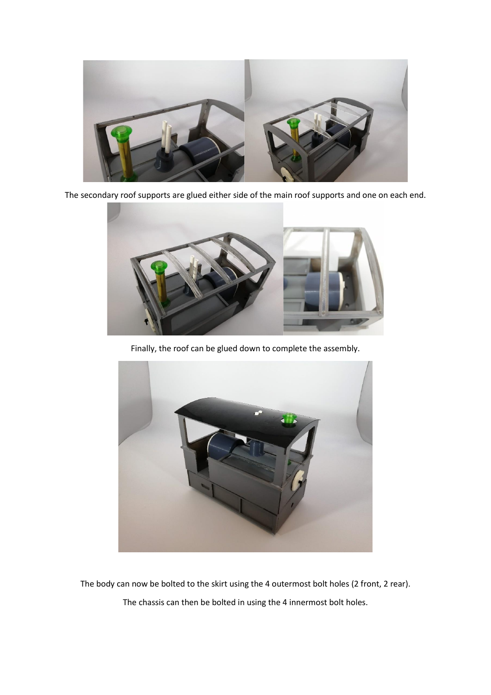

The secondary roof supports are glued either side of the main roof supports and one on each end.



Finally, the roof can be glued down to complete the assembly.



The body can now be bolted to the skirt using the 4 outermost bolt holes (2 front, 2 rear). The chassis can then be bolted in using the 4 innermost bolt holes.